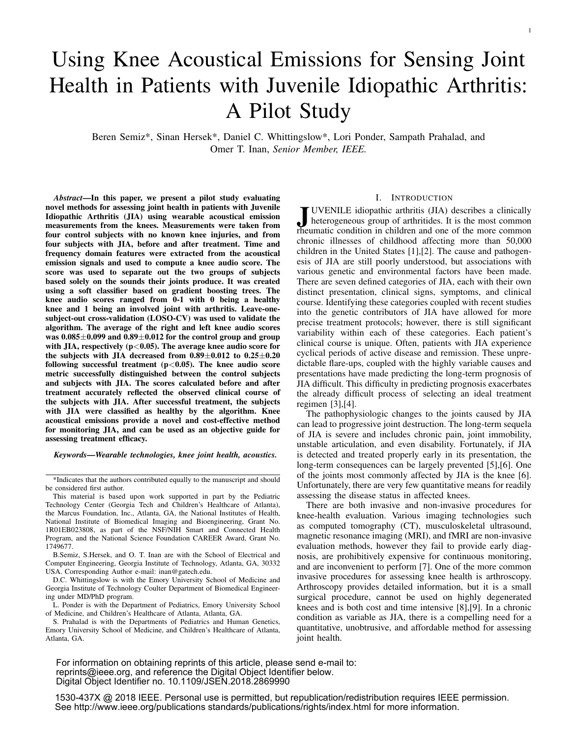# Using Knee Acoustical Emissions for Sensing Joint Health in Patients with Juvenile Idiopathic Arthritis: A Pilot Study

Beren Semiz\*, Sinan Hersek\*, Daniel C. Whittingslow\*, Lori Ponder, Sampath Prahalad, and Omer T. Inan, *Senior Member, IEEE.*

*Abstract*—In this paper, we present a pilot study evaluating novel methods for assessing joint health in patients with Juvenile Idiopathic Arthritis (JIA) using wearable acoustical emission measurements from the knees. Measurements were taken from four control subjects with no known knee injuries, and from four subjects with JIA, before and after treatment. Time and frequency domain features were extracted from the acoustical emission signals and used to compute a knee audio score. The score was used to separate out the two groups of subjects based solely on the sounds their joints produce. It was created using a soft classifier based on gradient boosting trees. The knee audio scores ranged from 0-1 with 0 being a healthy knee and 1 being an involved joint with arthritis. Leave-onesubject-out cross-validation (LOSO-CV) was used to validate the algorithm. The average of the right and left knee audio scores was  $0.085\pm0.099$  and  $0.89\pm0.012$  for the control group and group with JIA, respectively  $(p<0.05)$ . The average knee audio score for the subjects with JIA decreased from  $0.89 \pm 0.012$  to  $0.25 \pm 0.20$ following successful treatment  $(p<0.05)$ . The knee audio score metric successfully distinguished between the control subjects and subjects with JIA. The scores calculated before and after treatment accurately reflected the observed clinical course of the subjects with JIA. After successful treatment, the subjects with JIA were classified as healthy by the algorithm. Knee acoustical emissions provide a novel and cost-effective method for monitoring JIA, and can be used as an objective guide for assessing treatment efficacy.

*Keywords*—*Wearable technologies, knee joint health, acoustics.*

B.Semiz, S.Hersek, and O. T. Inan are with the School of Electrical and Computer Engineering, Georgia Institute of Technology, Atlanta, GA, 30332 USA. Corresponding Author e-mail: inan@gatech.edu.

D.C. Whittingslow is with the Emory University School of Medicine and Georgia Institute of Technology Coulter Department of Biomedical Engineering under MD/PhD program.

L. Ponder is with the Department of Pediatrics, Emory University School of Medicine, and Children's Healthcare of Atlanta, Atlanta, GA.

S. Prahalad is with the Departments of Pediatrics and Human Genetics, Emory University School of Medicine, and Children's Healthcare of Atlanta, Atlanta, GA.

## I. INTRODUCTION

1

JUVENILE idiopathic arthritis (JIA) describes a clinically<br>heterogeneous group of arthritides. It is the most common UVENILE idiopathic arthritis (JIA) describes a clinically rheumatic condition in children and one of the more common chronic illnesses of childhood affecting more than 50,000 children in the United States [1],[2]. The cause and pathogenesis of JIA are still poorly understood, but associations with various genetic and environmental factors have been made. There are seven defined categories of JIA, each with their own distinct presentation, clinical signs, symptoms, and clinical course. Identifying these categories coupled with recent studies into the genetic contributors of JIA have allowed for more precise treatment protocols; however, there is still significant variability within each of these categories. Each patient's clinical course is unique. Often, patients with JIA experience cyclical periods of active disease and remission. These unpredictable flare-ups, coupled with the highly variable causes and presentations have made predicting the long-term prognosis of JIA difficult. This difficulty in predicting prognosis exacerbates the already difficult process of selecting an ideal treatment regimen [3],[4].

The pathophysiologic changes to the joints caused by JIA can lead to progressive joint destruction. The long-term sequela of JIA is severe and includes chronic pain, joint immobility, unstable articulation, and even disability. Fortunately, if JIA is detected and treated properly early in its presentation, the long-term consequences can be largely prevented [5],[6]. One of the joints most commonly affected by JIA is the knee [6]. Unfortunately, there are very few quantitative means for readily assessing the disease status in affected knees.

There are both invasive and non-invasive procedures for knee-health evaluation. Various imaging technologies such as computed tomography (CT), musculoskeletal ultrasound, magnetic resonance imaging (MRI), and fMRI are non-invasive evaluation methods, however they fail to provide early diagnosis, are prohibitively expensive for continuous monitoring, and are inconvenient to perform [7]. One of the more common invasive procedures for assessing knee health is arthroscopy. Arthroscopy provides detailed information, but it is a small surgical procedure, cannot be used on highly degenerated knees and is both cost and time intensive [8],[9]. In a chronic condition as variable as JIA, there is a compelling need for a quantitative, unobtrusive, and affordable method for assessing joint health.

For information on obtaining reprints of this article, please send e-mail to: reprints@ieee.org, and reference the Digital Object Identifier below. Digital Object Identifier no. 10.1109/JSEN.2018.2869990

1530-437X @ 2018 IEEE. Personal use is permitted, but republication/redistribution requires IEEE permission. See http://www.ieee.org/publications standards/publications/rights/index.html for more information.

<sup>\*</sup>Indicates that the authors contributed equally to the manuscript and should be considered first author.

This material is based upon work supported in part by the Pediatric Technology Center (Georgia Tech and Children's Healthcare of Atlanta), the Marcus Foundation, Inc., Atlanta, GA, the National Institutes of Health, National Institute of Biomedical Imaging and Bioengineering, Grant No. 1R01EB023808, as part of the NSF/NIH Smart and Connected Health Program, and the National Science Foundation CAREER Award, Grant No. 1749677.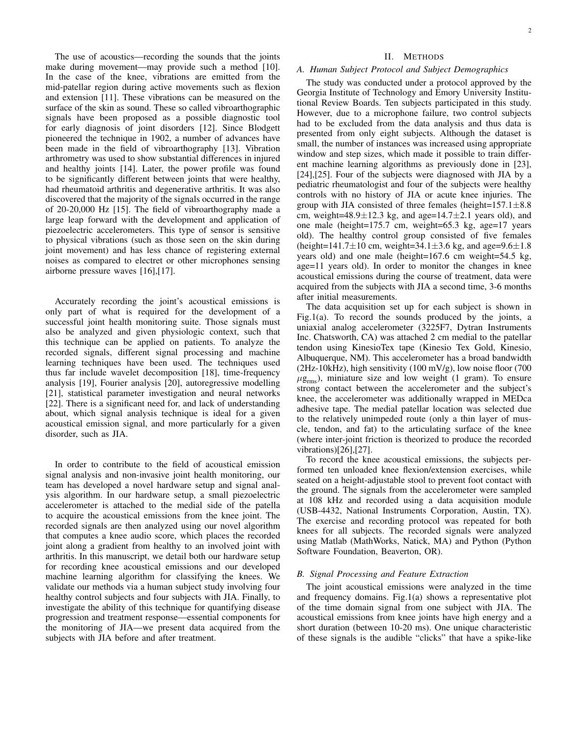The use of acoustics—recording the sounds that the joints make during movement—may provide such a method [10]. In the case of the knee, vibrations are emitted from the mid-patellar region during active movements such as flexion and extension [11]. These vibrations can be measured on the surface of the skin as sound. These so called vibroarthographic signals have been proposed as a possible diagnostic tool for early diagnosis of joint disorders [12]. Since Blodgett pioneered the technique in 1902, a number of advances have been made in the field of vibroarthography [13]. Vibration arthrometry was used to show substantial differences in injured and healthy joints [14]. Later, the power profile was found to be significantly different between joints that were healthy, had rheumatoid arthritis and degenerative arthritis. It was also discovered that the majority of the signals occurred in the range of 20-20,000 Hz [15]. The field of vibroarthography made a large leap forward with the development and application of piezoelectric accelerometers. This type of sensor is sensitive to physical vibrations (such as those seen on the skin during joint movement) and has less chance of registering external noises as compared to electret or other microphones sensing airborne pressure waves [16],[17].

Accurately recording the joint's acoustical emissions is only part of what is required for the development of a successful joint health monitoring suite. Those signals must also be analyzed and given physiologic context, such that this technique can be applied on patients. To analyze the recorded signals, different signal processing and machine learning techniques have been used. The techniques used thus far include wavelet decomposition [18], time-frequency analysis [19], Fourier analysis [20], autoregressive modelling [21], statistical parameter investigation and neural networks [22]. There is a significant need for, and lack of understanding about, which signal analysis technique is ideal for a given acoustical emission signal, and more particularly for a given disorder, such as JIA.

In order to contribute to the field of acoustical emission signal analysis and non-invasive joint health monitoring, our team has developed a novel hardware setup and signal analysis algorithm. In our hardware setup, a small piezoelectric accelerometer is attached to the medial side of the patella to acquire the acoustical emissions from the knee joint. The recorded signals are then analyzed using our novel algorithm that computes a knee audio score, which places the recorded joint along a gradient from healthy to an involved joint with arthritis. In this manuscript, we detail both our hardware setup for recording knee acoustical emissions and our developed machine learning algorithm for classifying the knees. We validate our methods via a human subject study involving four healthy control subjects and four subjects with JIA. Finally, to investigate the ability of this technique for quantifying disease progression and treatment response—essential components for the monitoring of JIA—we present data acquired from the subjects with JIA before and after treatment.

2

# II. METHODS

### *A. Human Subject Protocol and Subject Demographics*

The study was conducted under a protocol approved by the Georgia Institute of Technology and Emory University Institutional Review Boards. Ten subjects participated in this study. However, due to a microphone failure, two control subjects had to be excluded from the data analysis and thus data is presented from only eight subjects. Although the dataset is small, the number of instances was increased using appropriate window and step sizes, which made it possible to train different machine learning algorithms as previously done in [23], [24],[25]. Four of the subjects were diagnosed with JIA by a pediatric rheumatologist and four of the subjects were healthy controls with no history of JIA or acute knee injuries. The group with JIA consisted of three females (height= $157.1 \pm 8.8$ ) cm, weight=48.9 $\pm$ 12.3 kg, and age=14.7 $\pm$ 2.1 years old), and one male (height=175.7 cm, weight=65.3 kg, age=17 years old). The healthy control group consisted of five females (height=141.7 $\pm$ 10 cm, weight=34.1 $\pm$ 3.6 kg, and age=9.6 $\pm$ 1.8 years old) and one male (height=167.6 cm weight=54.5 kg, age=11 years old). In order to monitor the changes in knee acoustical emissions during the course of treatment, data were acquired from the subjects with JIA a second time, 3-6 months after initial measurements.

The data acquisition set up for each subject is shown in Fig.1(a). To record the sounds produced by the joints, a uniaxial analog accelerometer (3225F7, Dytran Instruments Inc. Chatsworth, CA) was attached 2 cm medial to the patellar tendon using KinesioTex tape (Kinesio Tex Gold, Kinesio, Albuquerque, NM). This accelerometer has a broad bandwidth (2Hz-10kHz), high sensitivity (100 mV/g), low noise floor (700  $\mu$ g<sub>rms</sub>), miniature size and low weight (1 gram). To ensure strong contact between the accelerometer and the subject's knee, the accelerometer was additionally wrapped in MEDca adhesive tape. The medial patellar location was selected due to the relatively unimpeded route (only a thin layer of muscle, tendon, and fat) to the articulating surface of the knee (where inter-joint friction is theorized to produce the recorded vibrations)[26],[27].

To record the knee acoustical emissions, the subjects performed ten unloaded knee flexion/extension exercises, while seated on a height-adjustable stool to prevent foot contact with the ground. The signals from the accelerometer were sampled at 108 kHz and recorded using a data acquisition module (USB-4432, National Instruments Corporation, Austin, TX). The exercise and recording protocol was repeated for both knees for all subjects. The recorded signals were analyzed using Matlab (MathWorks, Natick, MA) and Python (Python Software Foundation, Beaverton, OR).

#### *B. Signal Processing and Feature Extraction*

The joint acoustical emissions were analyzed in the time and frequency domains. Fig.1(a) shows a representative plot of the time domain signal from one subject with JIA. The acoustical emissions from knee joints have high energy and a short duration (between 10-20 ms). One unique characteristic of these signals is the audible "clicks" that have a spike-like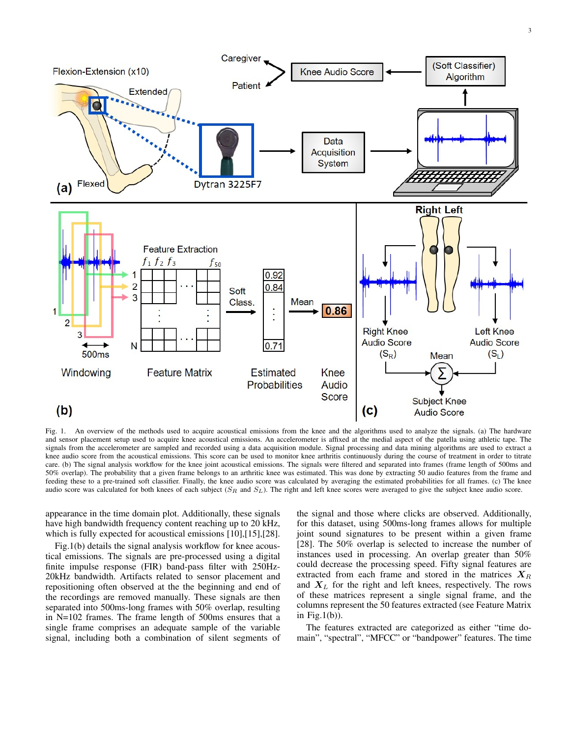3



Fig. 1. An overview of the methods used to acquire acoustical emissions from the knee and the algorithms used to analyze the signals. (a) The hardware and sensor placement setup used to acquire knee acoustical emissions. An accelerometer is affixed at the medial aspect of the patella using athletic tape. The signals from the accelerometer are sampled and recorded using a data acquisition module. Signal processing and data mining algorithms are used to extract a knee audio score from the acoustical emissions. This score can be used to monitor knee arthritis continuously during the course of treatment in order to titrate care. (b) The signal analysis workflow for the knee joint acoustical emissions. The signals were filtered and separated into frames (frame length of 500ms and 50% overlap). The probability that a given frame belongs to an arthritic knee was estimated. This was done by extracting 50 audio features from the frame and feeding these to a pre-trained soft classifier. Finally, the knee audio score was calculated by averaging the estimated probabilities for all frames. (c) The knee audio score was calculated for both knees of each subject  $(S_R$  and  $S_L$ ). The right and left knee scores were averaged to give the subject knee audio score.

appearance in the time domain plot. Additionally, these signals have high bandwidth frequency content reaching up to 20 kHz, which is fully expected for acoustical emissions [10],[15],[28].

Fig.1(b) details the signal analysis workflow for knee acoustical emissions. The signals are pre-processed using a digital finite impulse response (FIR) band-pass filter with 250Hz-20kHz bandwidth. Artifacts related to sensor placement and repositioning often observed at the the beginning and end of the recordings are removed manually. These signals are then separated into 500ms-long frames with 50% overlap, resulting in N=102 frames. The frame length of 500ms ensures that a single frame comprises an adequate sample of the variable signal, including both a combination of silent segments of the signal and those where clicks are observed. Additionally, for this dataset, using 500ms-long frames allows for multiple joint sound signatures to be present within a given frame [28]. The 50% overlap is selected to increase the number of instances used in processing. An overlap greater than 50% could decrease the processing speed. Fifty signal features are extracted from each frame and stored in the matrices  $X_R$ and  $X_L$  for the right and left knees, respectively. The rows of these matrices represent a single signal frame, and the columns represent the 50 features extracted (see Feature Matrix in Fig.  $1(b)$ ).

The features extracted are categorized as either "time domain", "spectral", "MFCC" or "bandpower" features. The time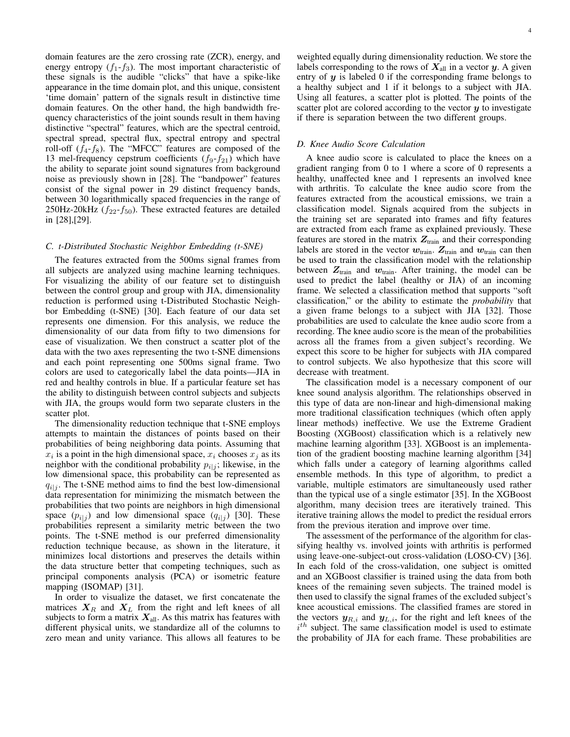domain features are the zero crossing rate (ZCR), energy, and energy entropy  $(f_1-f_3)$ . The most important characteristic of these signals is the audible "clicks" that have a spike-like appearance in the time domain plot, and this unique, consistent 'time domain' pattern of the signals result in distinctive time domain features. On the other hand, the high bandwidth frequency characteristics of the joint sounds result in them having distinctive "spectral" features, which are the spectral centroid, spectral spread, spectral flux, spectral entropy and spectral roll-off  $(f_4-f_8)$ . The "MFCC" features are composed of the 13 mel-frequency cepstrum coefficients  $(f_9 - f_{21})$  which have the ability to separate joint sound signatures from background noise as previously shown in [28]. The "bandpower" features consist of the signal power in 29 distinct frequency bands, between 30 logarithmically spaced frequencies in the range of 250Hz-20kHz ( $f_{22}$ - $f_{50}$ ). These extracted features are detailed in [28],[29].

# *C. t-Distributed Stochastic Neighbor Embedding (t-SNE)*

The features extracted from the 500ms signal frames from all subjects are analyzed using machine learning techniques. For visualizing the ability of our feature set to distinguish between the control group and group with JIA, dimensionality reduction is performed using t-Distributed Stochastic Neighbor Embedding (t-SNE) [30]. Each feature of our data set represents one dimension. For this analysis, we reduce the dimensionality of our data from fifty to two dimensions for ease of visualization. We then construct a scatter plot of the data with the two axes representing the two t-SNE dimensions and each point representing one 500ms signal frame. Two colors are used to categorically label the data points—JIA in red and healthy controls in blue. If a particular feature set has the ability to distinguish between control subjects and subjects with JIA, the groups would form two separate clusters in the scatter plot.

The dimensionality reduction technique that t-SNE employs attempts to maintain the distances of points based on their probabilities of being neighboring data points. Assuming that  $x_i$  is a point in the high dimensional space,  $x_i$  chooses  $x_j$  as its neighbor with the conditional probability  $p_{i|j}$ ; likewise, in the low dimensional space, this probability can be represented as  $q_{i|j}$ . The t-SNE method aims to find the best low-dimensional data representation for minimizing the mismatch between the probabilities that two points are neighbors in high dimensional space  $(p_{i|j})$  and low dimensional space  $(q_{i|j})$  [30]. These probabilities represent a similarity metric between the two points. The t-SNE method is our preferred dimensionality reduction technique because, as shown in the literature, it minimizes local distortions and preserves the details within the data structure better that competing techniques, such as principal components analysis (PCA) or isometric feature mapping (ISOMAP) [31].

In order to visualize the dataset, we first concatenate the matrices  $X_R$  and  $X_L$  from the right and left knees of all subjects to form a matrix  $X_{\text{all}}$ . As this matrix has features with different physical units, we standardize all of the columns to zero mean and unity variance. This allows all features to be

weighted equally during dimensionality reduction. We store the labels corresponding to the rows of  $X_{all}$  in a vector  $y$ . A given entry of  $y$  is labeled 0 if the corresponding frame belongs to a healthy subject and 1 if it belongs to a subject with JIA. Using all features, a scatter plot is plotted. The points of the scatter plot are colored according to the vector  $y$  to investigate if there is separation between the two different groups.

## *D. Knee Audio Score Calculation*

A knee audio score is calculated to place the knees on a gradient ranging from 0 to 1 where a score of 0 represents a healthy, unaffected knee and 1 represents an involved knee with arthritis. To calculate the knee audio score from the features extracted from the acoustical emissions, we train a classification model. Signals acquired from the subjects in the training set are separated into frames and fifty features are extracted from each frame as explained previously. These features are stored in the matrix  $Z_{\text{train}}$  and their corresponding labels are stored in the vector  $w_{\text{train}}$ .  $Z_{\text{train}}$  and  $w_{\text{train}}$  can then be used to train the classification model with the relationship between  $Z_{\text{train}}$  and  $w_{\text{train}}$ . After training, the model can be used to predict the label (healthy or JIA) of an incoming frame. We selected a classification method that supports "soft classification," or the ability to estimate the *probability* that a given frame belongs to a subject with JIA [32]. Those probabilities are used to calculate the knee audio score from a recording. The knee audio score is the mean of the probabilities across all the frames from a given subject's recording. We expect this score to be higher for subjects with JIA compared to control subjects. We also hypothesize that this score will decrease with treatment.

The classification model is a necessary component of our knee sound analysis algorithm. The relationships observed in this type of data are non-linear and high-dimensional making more traditional classification techniques (which often apply linear methods) ineffective. We use the Extreme Gradient Boosting (XGBoost) classification which is a relatively new machine learning algorithm [33]. XGBoost is an implementation of the gradient boosting machine learning algorithm [34] which falls under a category of learning algorithms called ensemble methods. In this type of algorithm, to predict a variable, multiple estimators are simultaneously used rather than the typical use of a single estimator [35]. In the XGBoost algorithm, many decision trees are iteratively trained. This iterative training allows the model to predict the residual errors from the previous iteration and improve over time.

The assessment of the performance of the algorithm for classifying healthy vs. involved joints with arthritis is performed using leave-one-subject-out cross-validation (LOSO-CV) [36]. In each fold of the cross-validation, one subject is omitted and an XGBoost classifier is trained using the data from both knees of the remaining seven subjects. The trained model is then used to classify the signal frames of the excluded subject's knee acoustical emissions. The classified frames are stored in the vectors  $y_{R,i}$  and  $y_{L,i}$ , for the right and left knees of the  $i<sup>th</sup>$  subject. The same classification model is used to estimate the probability of JIA for each frame. These probabilities are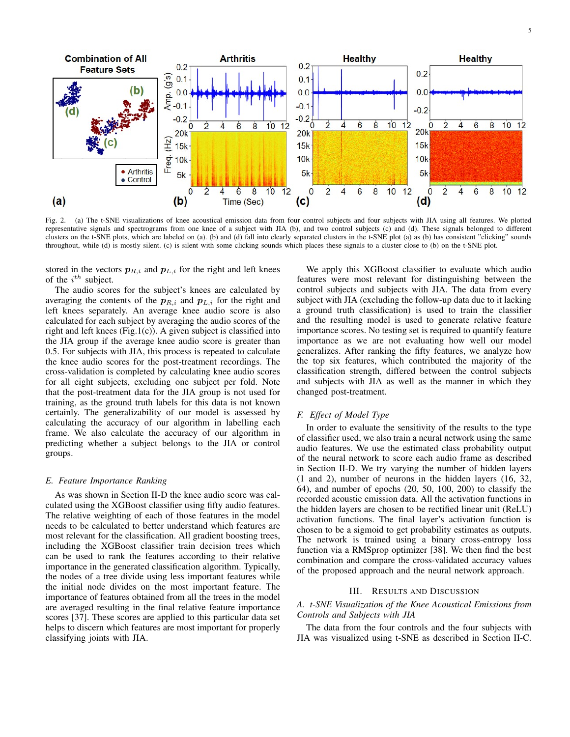

Fig. 2. (a) The t-SNE visualizations of knee acoustical emission data from four control subjects and four subjects with JIA using all features. We plotted representative signals and spectrograms from one knee of a subject with JIA (b), and two control subjects (c) and (d). These signals belonged to different clusters on the t-SNE plots, which are labeled on (a). (b) and (d) fall into clearly separated clusters in the t-SNE plot (a) as (b) has consistent "clicking" sounds throughout, while (d) is mostly silent. (c) is silent with some clicking sounds which places these signals to a cluster close to (b) on the t-SNE plot.

stored in the vectors  $p_{R,i}$  and  $p_{L,i}$  for the right and left knees of the  $i^{th}$  subject.

The audio scores for the subject's knees are calculated by averaging the contents of the  $p_{R,i}$  and  $p_{L,i}$  for the right and left knees separately. An average knee audio score is also calculated for each subject by averaging the audio scores of the right and left knees (Fig.1(c)). A given subject is classified into the JIA group if the average knee audio score is greater than 0.5. For subjects with JIA, this process is repeated to calculate the knee audio scores for the post-treatment recordings. The cross-validation is completed by calculating knee audio scores for all eight subjects, excluding one subject per fold. Note that the post-treatment data for the JIA group is not used for training, as the ground truth labels for this data is not known certainly. The generalizability of our model is assessed by calculating the accuracy of our algorithm in labelling each frame. We also calculate the accuracy of our algorithm in predicting whether a subject belongs to the JIA or control groups.

## *E. Feature Importance Ranking*

As was shown in Section II-D the knee audio score was calculated using the XGBoost classifier using fifty audio features. The relative weighting of each of those features in the model needs to be calculated to better understand which features are most relevant for the classification. All gradient boosting trees, including the XGBoost classifier train decision trees which can be used to rank the features according to their relative importance in the generated classification algorithm. Typically, the nodes of a tree divide using less important features while the initial node divides on the most important feature. The importance of features obtained from all the trees in the model are averaged resulting in the final relative feature importance scores [37]. These scores are applied to this particular data set helps to discern which features are most important for properly classifying joints with JIA.

We apply this XGBoost classifier to evaluate which audio features were most relevant for distinguishing between the control subjects and subjects with JIA. The data from every subject with JIA (excluding the follow-up data due to it lacking a ground truth classification) is used to train the classifier and the resulting model is used to generate relative feature importance scores. No testing set is required to quantify feature importance as we are not evaluating how well our model generalizes. After ranking the fifty features, we analyze how the top six features, which contributed the majority of the classification strength, differed between the control subjects and subjects with JIA as well as the manner in which they changed post-treatment.

# *F. Effect of Model Type*

In order to evaluate the sensitivity of the results to the type of classifier used, we also train a neural network using the same audio features. We use the estimated class probability output of the neural network to score each audio frame as described in Section II-D. We try varying the number of hidden layers (1 and 2), number of neurons in the hidden layers (16, 32, 64), and number of epochs (20, 50, 100, 200) to classify the recorded acoustic emission data. All the activation functions in the hidden layers are chosen to be rectified linear unit (ReLU) activation functions. The final layer's activation function is chosen to be a sigmoid to get probability estimates as outputs. The network is trained using a binary cross-entropy loss function via a RMSprop optimizer [38]. We then find the best combination and compare the cross-validated accuracy values of the proposed approach and the neural network approach.

#### III. RESULTS AND DISCUSSION

# *A. t-SNE Visualization of the Knee Acoustical Emissions from Controls and Subjects with JIA*

The data from the four controls and the four subjects with JIA was visualized using t-SNE as described in Section II-C.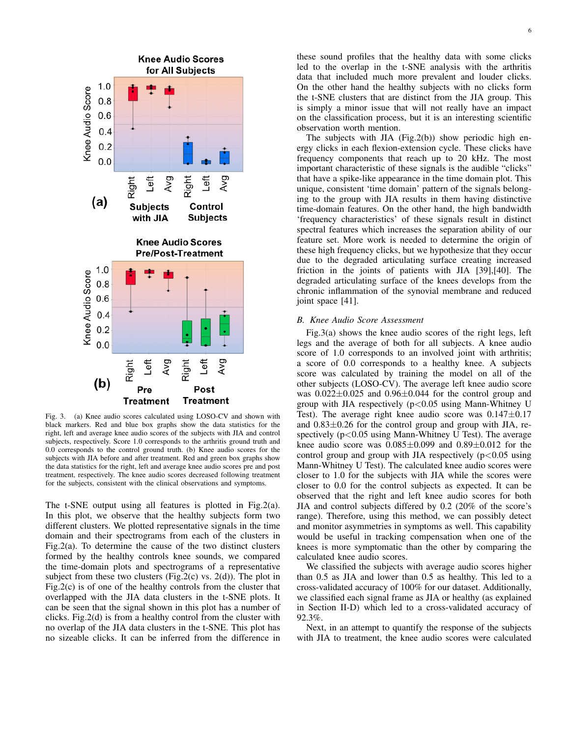

Fig. 3. (a) Knee audio scores calculated using LOSO-CV and shown with black markers. Red and blue box graphs show the data statistics for the right, left and average knee audio scores of the subjects with JIA and control subjects, respectively. Score 1.0 corresponds to the arthritis ground truth and 0.0 corresponds to the control ground truth. (b) Knee audio scores for the subjects with JIA before and after treatment. Red and green box graphs show the data statistics for the right, left and average knee audio scores pre and post treatment, respectively. The knee audio scores decreased following treatment for the subjects, consistent with the clinical observations and symptoms.

The t-SNE output using all features is plotted in Fig.2(a). In this plot, we observe that the healthy subjects form two different clusters. We plotted representative signals in the time domain and their spectrograms from each of the clusters in Fig.2(a). To determine the cause of the two distinct clusters formed by the healthy controls knee sounds, we compared the time-domain plots and spectrograms of a representative subject from these two clusters (Fig.2(c) vs.  $2(d)$ ). The plot in Fig.2(c) is of one of the healthy controls from the cluster that overlapped with the JIA data clusters in the t-SNE plots. It can be seen that the signal shown in this plot has a number of clicks. Fig.2(d) is from a healthy control from the cluster with no overlap of the JIA data clusters in the t-SNE. This plot has no sizeable clicks. It can be inferred from the difference in these sound profiles that the healthy data with some clicks led to the overlap in the t-SNE analysis with the arthritis data that included much more prevalent and louder clicks. On the other hand the healthy subjects with no clicks form the t-SNE clusters that are distinct from the JIA group. This is simply a minor issue that will not really have an impact on the classification process, but it is an interesting scientific observation worth mention.

The subjects with JIA (Fig.2(b)) show periodic high energy clicks in each flexion-extension cycle. These clicks have frequency components that reach up to 20 kHz. The most important characteristic of these signals is the audible "clicks" that have a spike-like appearance in the time domain plot. This unique, consistent 'time domain' pattern of the signals belonging to the group with JIA results in them having distinctive time-domain features. On the other hand, the high bandwidth 'frequency characteristics' of these signals result in distinct spectral features which increases the separation ability of our feature set. More work is needed to determine the origin of these high frequency clicks, but we hypothesize that they occur due to the degraded articulating surface creating increased friction in the joints of patients with JIA [39],[40]. The degraded articulating surface of the knees develops from the chronic inflammation of the synovial membrane and reduced joint space [41].

#### *B. Knee Audio Score Assessment*

Fig.3(a) shows the knee audio scores of the right legs, left legs and the average of both for all subjects. A knee audio score of 1.0 corresponds to an involved joint with arthritis; a score of 0.0 corresponds to a healthy knee. A subjects score was calculated by training the model on all of the other subjects (LOSO-CV). The average left knee audio score was  $0.022 \pm 0.025$  and  $0.96 \pm 0.044$  for the control group and group with JIA respectively  $(p<0.05$  using Mann-Whitney U Test). The average right knee audio score was  $0.147 \pm 0.17$ and  $0.83\pm0.26$  for the control group and group with JIA, respectively  $(p<0.05$  using Mann-Whitney U Test). The average knee audio score was  $0.085\pm0.099$  and  $0.89\pm0.012$  for the control group and group with JIA respectively  $(p<0.05$  using Mann-Whitney U Test). The calculated knee audio scores were closer to 1.0 for the subjects with JIA while the scores were closer to 0.0 for the control subjects as expected. It can be observed that the right and left knee audio scores for both JIA and control subjects differed by 0.2 (20% of the score's range). Therefore, using this method, we can possibly detect and monitor asymmetries in symptoms as well. This capability would be useful in tracking compensation when one of the knees is more symptomatic than the other by comparing the calculated knee audio scores.

We classified the subjects with average audio scores higher than 0.5 as JIA and lower than 0.5 as healthy. This led to a cross-validated accuracy of 100% for our dataset. Additionally, we classified each signal frame as JIA or healthy (as explained in Section II-D) which led to a cross-validated accuracy of 92.3%.

Next, in an attempt to quantify the response of the subjects with JIA to treatment, the knee audio scores were calculated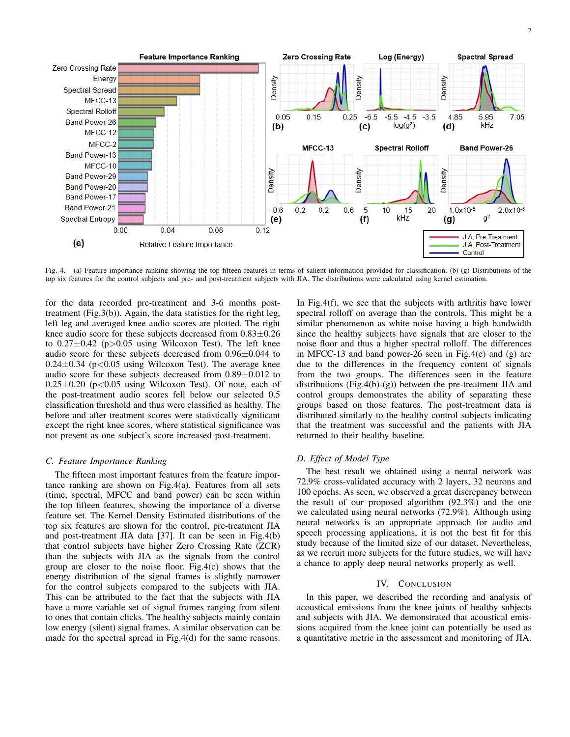

Fig. 4. (a) Feature importance ranking showing the top fifteen features in terms of salient information provided for classification. (b)-(g) Distributions of the top six features for the control subjects and pre- and post-treatment subjects with JIA. The distributions were calculated using kernel estimation.

for the data recorded pre-treatment and 3-6 months posttreatment (Fig.3(b)). Again, the data statistics for the right leg, left leg and averaged knee audio scores are plotted. The right knee audio score for these subjects decreased from 0.83±0.26 to  $0.27 \pm 0.42$  (p $> 0.05$  using Wilcoxon Test). The left knee audio score for these subjects decreased from 0.96±0.044 to  $0.24 \pm 0.34$  (p<0.05 using Wilcoxon Test). The average knee audio score for these subjects decreased from 0.89±0.012 to  $0.25\pm0.20$  (p<0.05 using Wilcoxon Test). Of note, each of the post-treatment audio scores fell below our selected 0.5 classification threshold and thus were classified as healthy. The before and after treatment scores were statistically significant except the right knee scores, where statistical significance was not present as one subject's score increased post-treatment.

## *C. Feature Importance Ranking*

The fifteen most important features from the feature importance ranking are shown on Fig.4(a). Features from all sets (time, spectral, MFCC and band power) can be seen within the top fifteen features, showing the importance of a diverse feature set. The Kernel Density Estimated distributions of the top six features are shown for the control, pre-treatment JIA and post-treatment JIA data [37]. It can be seen in Fig.4(b) that control subjects have higher Zero Crossing Rate (ZCR) than the subjects with JIA as the signals from the control group are closer to the noise floor. Fig.4(c) shows that the energy distribution of the signal frames is slightly narrower for the control subjects compared to the subjects with JIA. This can be attributed to the fact that the subjects with JIA have a more variable set of signal frames ranging from silent to ones that contain clicks. The healthy subjects mainly contain low energy (silent) signal frames. A similar observation can be made for the spectral spread in Fig.4(d) for the same reasons. In Fig.4(f), we see that the subjects with arthritis have lower spectral rolloff on average than the controls. This might be a similar phenomenon as white noise having a high bandwidth since the healthy subjects have signals that are closer to the noise floor and thus a higher spectral rolloff. The differences in MFCC-13 and band power-26 seen in Fig.4(e) and (g) are due to the differences in the frequency content of signals from the two groups. The differences seen in the feature distributions (Fig.4(b)-(g)) between the pre-treatment JIA and control groups demonstrates the ability of separating these groups based on those features. The post-treatment data is distributed similarly to the healthy control subjects indicating that the treatment was successful and the patients with JIA returned to their healthy baseline.

## *D. Effect of Model Type*

The best result we obtained using a neural network was 72.9% cross-validated accuracy with 2 layers, 32 neurons and 100 epochs. As seen, we observed a great discrepancy between the result of our proposed algorithm (92.3%) and the one we calculated using neural networks (72.9%). Although using neural networks is an appropriate approach for audio and speech processing applications, it is not the best fit for this study because of the limited size of our dataset. Nevertheless, as we recruit more subjects for the future studies, we will have a chance to apply deep neural networks properly as well.

# IV. CONCLUSION

In this paper, we described the recording and analysis of acoustical emissions from the knee joints of healthy subjects and subjects with JIA. We demonstrated that acoustical emissions acquired from the knee joint can potentially be used as a quantitative metric in the assessment and monitoring of JIA.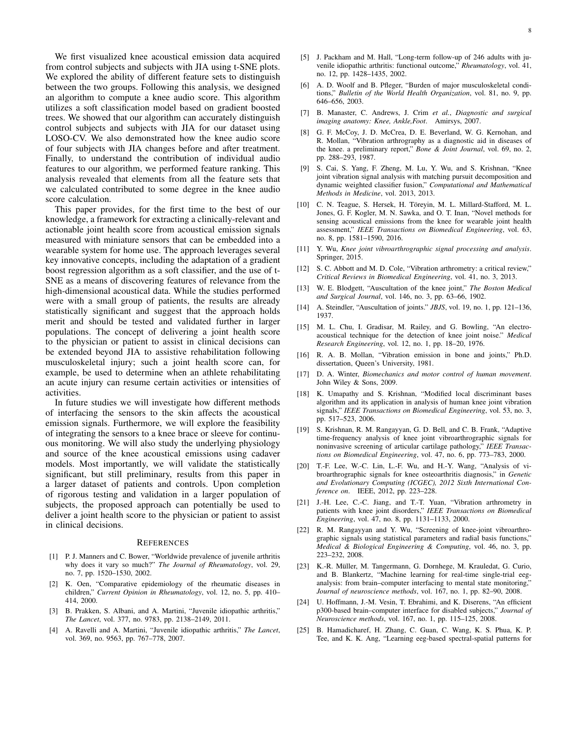We first visualized knee acoustical emission data acquired from control subjects and subjects with JIA using t-SNE plots. We explored the ability of different feature sets to distinguish between the two groups. Following this analysis, we designed an algorithm to compute a knee audio score. This algorithm utilizes a soft classification model based on gradient boosted trees. We showed that our algorithm can accurately distinguish control subjects and subjects with JIA for our dataset using LOSO-CV. We also demonstrated how the knee audio score of four subjects with JIA changes before and after treatment. Finally, to understand the contribution of individual audio features to our algorithm, we performed feature ranking. This analysis revealed that elements from all the feature sets that we calculated contributed to some degree in the knee audio score calculation.

This paper provides, for the first time to the best of our knowledge, a framework for extracting a clinically-relevant and actionable joint health score from acoustical emission signals measured with miniature sensors that can be embedded into a wearable system for home use. The approach leverages several key innovative concepts, including the adaptation of a gradient boost regression algorithm as a soft classifier, and the use of t-SNE as a means of discovering features of relevance from the high-dimensional acoustical data. While the studies performed were with a small group of patients, the results are already statistically significant and suggest that the approach holds merit and should be tested and validated further in larger populations. The concept of delivering a joint health score to the physician or patient to assist in clinical decisions can be extended beyond JIA to assistive rehabilitation following musculoskeletal injury; such a joint health score can, for example, be used to determine when an athlete rehabilitating an acute injury can resume certain activities or intensities of activities.

In future studies we will investigate how different methods of interfacing the sensors to the skin affects the acoustical emission signals. Furthermore, we will explore the feasibility of integrating the sensors to a knee brace or sleeve for continuous monitoring. We will also study the underlying physiology and source of the knee acoustical emissions using cadaver models. Most importantly, we will validate the statistically significant, but still preliminary, results from this paper in a larger dataset of patients and controls. Upon completion of rigorous testing and validation in a larger population of subjects, the proposed approach can potentially be used to deliver a joint health score to the physician or patient to assist in clinical decisions.

#### **REFERENCES**

- [1] P. J. Manners and C. Bower, "Worldwide prevalence of juvenile arthritis why does it vary so much?" *The Journal of Rheumatology*, vol. 29, no. 7, pp. 1520–1530, 2002.
- [2] K. Oen, "Comparative epidemiology of the rheumatic diseases in children," *Current Opinion in Rheumatology*, vol. 12, no. 5, pp. 410– 414, 2000.
- [3] B. Prakken, S. Albani, and A. Martini, "Juvenile idiopathic arthritis," *The Lancet*, vol. 377, no. 9783, pp. 2138–2149, 2011.
- [4] A. Ravelli and A. Martini, "Juvenile idiopathic arthritis," *The Lancet*, vol. 369, no. 9563, pp. 767–778, 2007.
- [5] J. Packham and M. Hall, "Long-term follow-up of 246 adults with juvenile idiopathic arthritis: functional outcome," *Rheumatology*, vol. 41, no. 12, pp. 1428–1435, 2002.
- [6] A. D. Woolf and B. Pfleger, "Burden of major musculoskeletal conditions," *Bulletin of the World Health Organization*, vol. 81, no. 9, pp. 646–656, 2003.
- [7] B. Manaster, C. Andrews, J. Crim *et al.*, *Diagnostic and surgical imaging anatomy: Knee, Ankle,Foot*. Amirsys, 2007.
- [8] G. F. McCoy, J. D. McCrea, D. E. Beverland, W. G. Kernohan, and R. Mollan, "Vibration arthrography as a diagnostic aid in diseases of the knee. a preliminary report," *Bone & Joint Journal*, vol. 69, no. 2, pp. 288–293, 1987.
- [9] S. Cai, S. Yang, F. Zheng, M. Lu, Y. Wu, and S. Krishnan, "Knee joint vibration signal analysis with matching pursuit decomposition and dynamic weighted classifier fusion," *Computational and Mathematical Methods in Medicine*, vol. 2013, 2013.
- [10] C. N. Teague, S. Hersek, H. Töreyin, M. L. Millard-Stafford, M. L. Jones, G. F. Kogler, M. N. Sawka, and O. T. Inan, "Novel methods for sensing acoustical emissions from the knee for wearable joint health assessment," *IEEE Transactions on Biomedical Engineering*, vol. 63, no. 8, pp. 1581–1590, 2016.
- [11] Y. Wu, *Knee joint vibroarthrographic signal processing and analysis*. Springer, 2015.
- [12] S. C. Abbott and M. D. Cole, "Vibration arthrometry: a critical review." *Critical Reviews in Biomedical Engineering*, vol. 41, no. 3, 2013.
- [13] W. E. Blodgett, "Auscultation of the knee joint," *The Boston Medical and Surgical Journal*, vol. 146, no. 3, pp. 63–66, 1902.
- [14] A. Steindler, "Auscultation of joints." *JBJS*, vol. 19, no. 1, pp. 121–136, 1937.
- [15] M. L. Chu, I. Gradisar, M. Railey, and G. Bowling, "An electroacoustical technique for the detection of knee joint noise." *Medical Research Engineering*, vol. 12, no. 1, pp. 18–20, 1976.
- [16] R. A. B. Mollan, "Vibration emission in bone and joints," Ph.D. dissertation, Queen's University, 1981.
- [17] D. A. Winter, *Biomechanics and motor control of human movement*. John Wiley & Sons, 2009.
- [18] K. Umapathy and S. Krishnan, "Modified local discriminant bases algorithm and its application in analysis of human knee joint vibration signals," *IEEE Transactions on Biomedical Engineering*, vol. 53, no. 3, pp. 517–523, 2006.
- [19] S. Krishnan, R. M. Rangayyan, G. D. Bell, and C. B. Frank, "Adaptive time-frequency analysis of knee joint vibroarthrographic signals for noninvasive screening of articular cartilage pathology," *IEEE Transactions on Biomedical Engineering*, vol. 47, no. 6, pp. 773–783, 2000.
- [20] T.-F. Lee, W.-C. Lin, L.-F. Wu, and H.-Y. Wang, "Analysis of vibroarthrographic signals for knee osteoarthritis diagnosis," in *Genetic and Evolutionary Computing (ICGEC), 2012 Sixth International Conference on*. IEEE, 2012, pp. 223–228.
- [21] J.-H. Lee, C.-C. Jiang, and T.-T. Yuan, "Vibration arthrometry in patients with knee joint disorders," *IEEE Transactions on Biomedical Engineering*, vol. 47, no. 8, pp. 1131–1133, 2000.
- [22] R. M. Rangayyan and Y. Wu, "Screening of knee-joint vibroarthrographic signals using statistical parameters and radial basis functions," *Medical & Biological Engineering & Computing*, vol. 46, no. 3, pp. 223–232, 2008.
- [23] K.-R. Müller, M. Tangermann, G. Dornhege, M. Krauledat, G. Curio, and B. Blankertz, "Machine learning for real-time single-trial eeganalysis: from brain–computer interfacing to mental state monitoring, *Journal of neuroscience methods*, vol. 167, no. 1, pp. 82–90, 2008.
- [24] U. Hoffmann, J.-M. Vesin, T. Ebrahimi, and K. Diserens, "An efficient p300-based brain–computer interface for disabled subjects," *Journal of Neuroscience methods*, vol. 167, no. 1, pp. 115–125, 2008.
- [25] B. Hamadicharef, H. Zhang, C. Guan, C. Wang, K. S. Phua, K. P. Tee, and K. K. Ang, "Learning eeg-based spectral-spatial patterns for